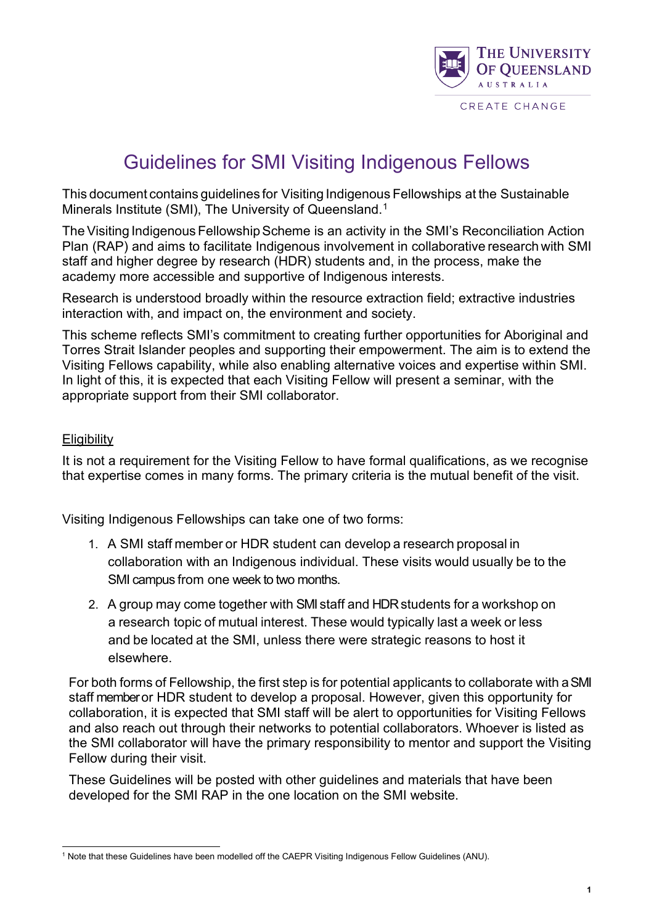

## Guidelines for SMI Visiting Indigenous Fellows

This document contains guidelines for Visiting Indigenous Fellowships at the Sustainable Minerals Institute (SMI), The University of Queensland.<sup>[1](#page-0-0)</sup>

The Visiting Indigenous Fellowship Scheme is an activity in the SMI's Reconciliation Action Plan (RAP) and aims to facilitate Indigenous involvement in collaborative research with SMI staff and higher degree by research (HDR) students and, in the process, make the academy more accessible and supportive of Indigenous interests.

Research is understood broadly within the resource extraction field; extractive industries interaction with, and impact on, the environment and society.

This scheme reflects SMI's commitment to creating further opportunities for Aboriginal and Torres Strait Islander peoples and supporting their empowerment. The aim is to extend the Visiting Fellows capability, while also enabling alternative voices and expertise within SMI. In light of this, it is expected that each Visiting Fellow will present a seminar, with the appropriate support from their SMI collaborator.

## **Eligibility**

It is not a requirement for the Visiting Fellow to have formal qualifications, as we recognise that expertise comes in many forms. The primary criteria is the mutual benefit of the visit.

Visiting Indigenous Fellowships can take one of two forms:

- 1. A SMI staff member or HDR student can develop a research proposal in collaboration with an Indigenous individual. These visits would usually be to the SMI campus from one week to two months.
- 2. A group may come together with SMI staff and HDR students for a workshop on a research topic of mutual interest. These would typically last a week or less and be located at the SMI, unless there were strategic reasons to host it elsewhere.

For both forms of Fellowship, the first step is for potential applicants to collaborate with aSMI staff member or HDR student to develop a proposal. However, given this opportunity for collaboration, it is expected that SMI staff will be alert to opportunities for Visiting Fellows and also reach out through their networks to potential collaborators. Whoever is listed as the SMI collaborator will have the primary responsibility to mentor and support the Visiting Fellow during their visit.

These Guidelines will be posted with other guidelines and materials that have been developed for the SMI RAP in the one location on the SMI website.

<span id="page-0-0"></span><sup>1</sup> Note that these Guidelines have been modelled off the CAEPR Visiting Indigenous Fellow Guidelines (ANU).